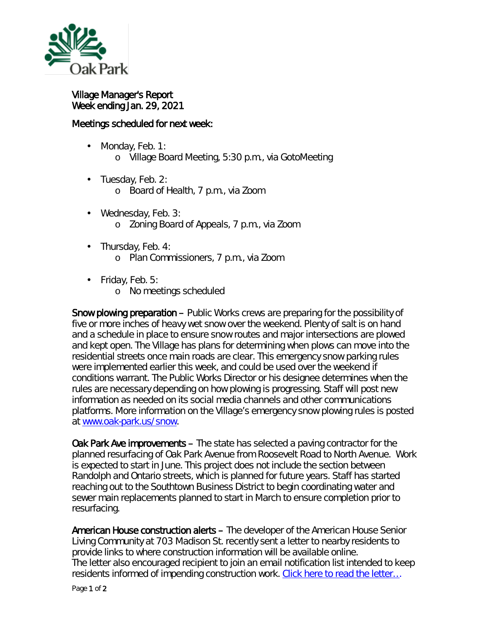

Village Manager's Report Week ending Jan. 29, 2021

## Meetings scheduled for next week:

- Monday, Feb. 1: ä. o Village Board Meeting, 5:30 p.m., via GotoMeeting
- · Tuesday, Feb. 2:
	- o Board of Health, 7 p.m., via Zoom
- Wednesday, Feb. 3: o Zoning Board of Appeals, 7 p.m., via Zoom
- . Thursday, Feb. 4:
	- o Plan Commissioners, 7 p.m., via Zoom
- $\cdot$  Friday, Feb. 5:
	- o No meetings scheduled

Snow plowing preparation – Public Works crews are preparing for the possibility of five or more inches of heavy wet snow over the weekend. Plenty of salt is on hand and a schedule in place to ensure snow routes and major intersections are plowed and kept open. The Village has plans for determining when plows can move into the residential streets once main roads are clear. This emergency snow parking rules were implemented earlier this week, and could be used over the weekend if conditions warrant. The Public Works Director or his designee determines when the rules are necessary depending on how plowing is progressing. Staff will post new information as needed on its social media channels and other communications platforms. More information on the Village's emergency snow plowing rules is posted at [www.oak-park.us/snow.](http://www.oak-park.us/snow)

Oak Park Ave improvements – The state has selected a paving contractor for the planned resurfacing of Oak Park Avenue from Roosevelt Road to North Avenue. Work is expected to start in June. This project does not include the section between Randolph and Ontario streets, which is planned for future years. Staff has started reaching out to the Southtown Business District to begin coordinating water and sewer main replacements planned to start in March to ensure completion prior to resurfacing.

American House construction alerts – The developer of the American House Senior Living Community at 703 Madison St. recently sent a letter to nearby residents to provide links to where construction information will be available online. The letter also encouraged recipient to join an email notification list intended to keep residents informed of impending construction work. Click here to read the letter...